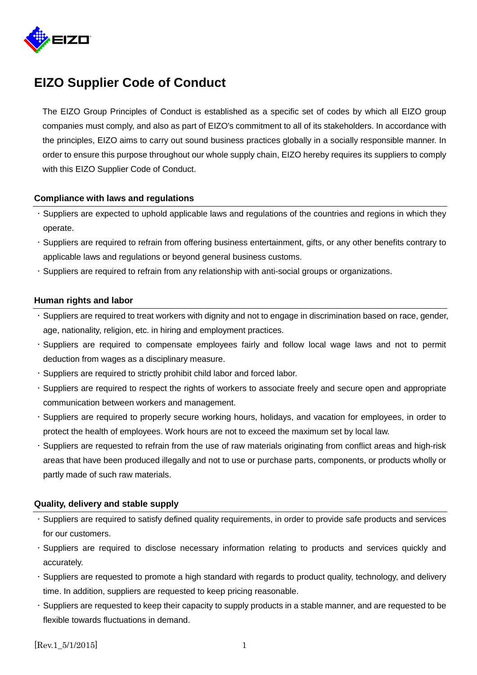

# **EIZO Supplier Code of Conduct**

The EIZO Group Principles of Conduct is established as a specific set of codes by which all EIZO group companies must comply, and also as part of EIZO's commitment to all of its stakeholders. In accordance with the principles, EIZO aims to carry out sound business practices globally in a socially responsible manner. In order to ensure this purpose throughout our whole supply chain, EIZO hereby requires its suppliers to comply with this EIZO Supplier Code of Conduct.

# **Compliance with laws and regulations**

- Suppliers are expected to uphold applicable laws and regulations of the countries and regions in which they operate.
- Suppliers are required to refrain from offering business entertainment, gifts, or any other benefits contrary to applicable laws and regulations or beyond general business customs.
- Suppliers are required to refrain from any relationship with anti-social groups or organizations.

#### **Human rights and labor**

- Suppliers are required to treat workers with dignity and not to engage in discrimination based on race, gender, age, nationality, religion, etc. in hiring and employment practices.
- Suppliers are required to compensate employees fairly and follow local wage laws and not to permit deduction from wages as a disciplinary measure.
- Suppliers are required to strictly prohibit child labor and forced labor.
- Suppliers are required to respect the rights of workers to associate freely and secure open and appropriate communication between workers and management.
- Suppliers are required to properly secure working hours, holidays, and vacation for employees, in order to protect the health of employees. Work hours are not to exceed the maximum set by local law.
- Suppliers are requested to refrain from the use of raw materials originating from conflict areas and high-risk areas that have been produced illegally and not to use or purchase parts, components, or products wholly or partly made of such raw materials.

#### **Quality, delivery and stable supply**

- Suppliers are required to satisfy defined quality requirements, in order to provide safe products and services for our customers.
- Suppliers are required to disclose necessary information relating to products and services quickly and accurately.
- Suppliers are requested to promote a high standard with regards to product quality, technology, and delivery time. In addition, suppliers are requested to keep pricing reasonable.
- Suppliers are requested to keep their capacity to supply products in a stable manner, and are requested to be flexible towards fluctuations in demand.